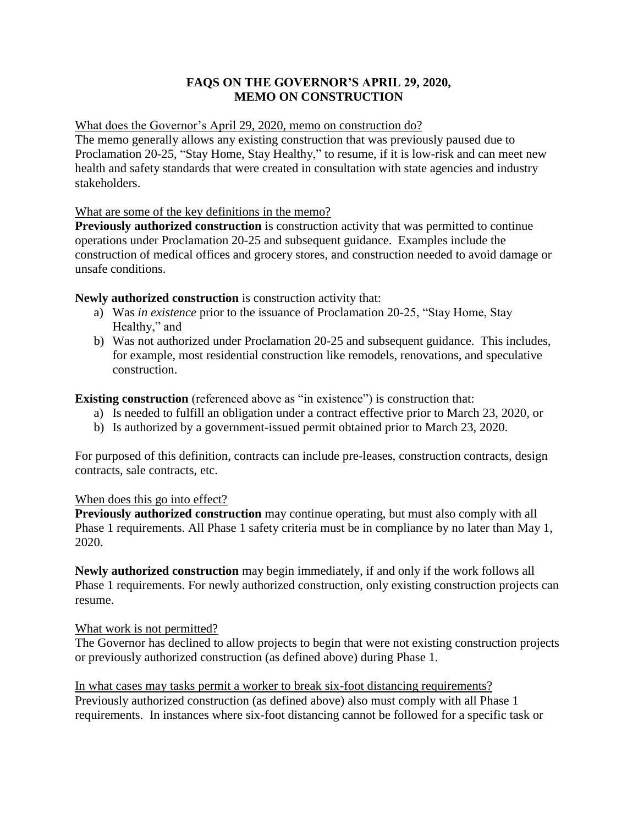# **FAQS ON THE GOVERNOR'S APRIL 29, 2020, MEMO ON CONSTRUCTION**

# What does the Governor's April 29, 2020, memo on construction do?

The memo generally allows any existing construction that was previously paused due to Proclamation 20-25, "Stay Home, Stay Healthy," to resume, if it is low-risk and can meet new health and safety standards that were created in consultation with state agencies and industry stakeholders.

# What are some of the key definitions in the memo?

**Previously authorized construction** is construction activity that was permitted to continue operations under Proclamation 20-25 and subsequent guidance. Examples include the construction of medical offices and grocery stores, and construction needed to avoid damage or unsafe conditions.

**Newly authorized construction** is construction activity that:

- a) Was *in existence* prior to the issuance of Proclamation 20-25, "Stay Home, Stay Healthy," and
- b) Was not authorized under Proclamation 20-25 and subsequent guidance. This includes, for example, most residential construction like remodels, renovations, and speculative construction.

**Existing construction** (referenced above as "in existence") is construction that:

- a) Is needed to fulfill an obligation under a contract effective prior to March 23, 2020, or
- b) Is authorized by a government-issued permit obtained prior to March 23, 2020.

For purposed of this definition, contracts can include pre-leases, construction contracts, design contracts, sale contracts, etc.

# When does this go into effect?

**Previously authorized construction** may continue operating, but must also comply with all Phase 1 requirements. All Phase 1 safety criteria must be in compliance by no later than May 1, 2020.

**Newly authorized construction** may begin immediately, if and only if the work follows all Phase 1 requirements. For newly authorized construction, only existing construction projects can resume.

# What work is not permitted?

The Governor has declined to allow projects to begin that were not existing construction projects or previously authorized construction (as defined above) during Phase 1.

In what cases may tasks permit a worker to break six-foot distancing requirements? Previously authorized construction (as defined above) also must comply with all Phase 1 requirements. In instances where six-foot distancing cannot be followed for a specific task or